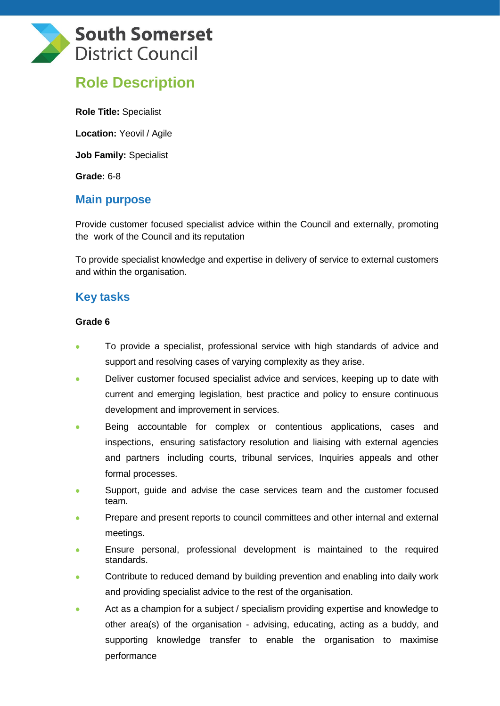

## **Role Description**

**Role Title:** Specialist

**Location:** Yeovil / Agile

**Job Family:** Specialist

**Grade:** 6-8

### **Main purpose**

Provide customer focused specialist advice within the Council and externally, promoting the work of the Council and its reputation

To provide specialist knowledge and expertise in delivery of service to external customers and within the organisation.

### **Key tasks**

#### **Grade 6**

- To provide a specialist, professional service with high standards of advice and support and resolving cases of varying complexity as they arise.
- **•** Deliver customer focused specialist advice and services, keeping up to date with current and emerging legislation, best practice and policy to ensure continuous development and improvement in services.
- Being accountable for complex or contentious applications, cases and inspections, ensuring satisfactory resolution and liaising with external agencies and partners including courts, tribunal services, Inquiries appeals and other formal processes.
- Support, guide and advise the case services team and the customer focused team.
- Prepare and present reports to council committees and other internal and external meetings.
- Ensure personal, professional development is maintained to the required standards.
- Contribute to reduced demand by building prevention and enabling into daily work and providing specialist advice to the rest of the organisation.
- Act as a champion for a subject / specialism providing expertise and knowledge to other area(s) of the organisation - advising, educating, acting as a buddy, and supporting knowledge transfer to enable the organisation to maximise performance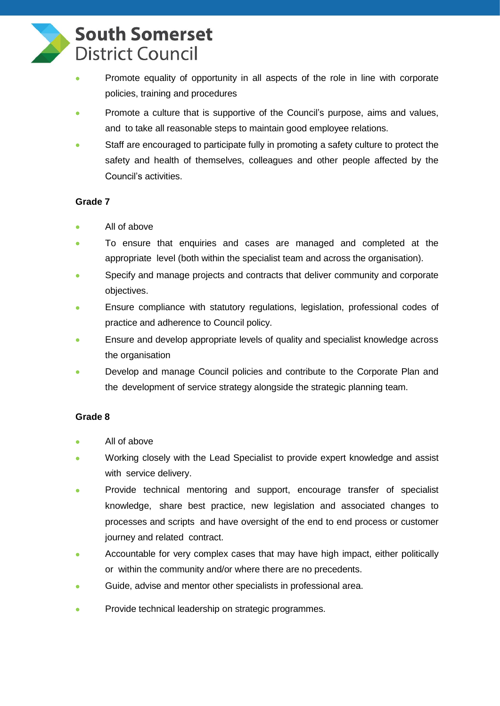# **South Somerset District Council**

- Promote equality of opportunity in all aspects of the role in line with corporate policies, training and procedures
- Promote a culture that is supportive of the Council's purpose, aims and values, and to take all reasonable steps to maintain good employee relations.
- Staff are encouraged to participate fully in promoting a safety culture to protect the safety and health of themselves, colleagues and other people affected by the Council's activities.

### **Grade 7**

- All of above
- To ensure that enquiries and cases are managed and completed at the appropriate level (both within the specialist team and across the organisation).
- Specify and manage projects and contracts that deliver community and corporate objectives.
- Ensure compliance with statutory regulations, legislation, professional codes of practice and adherence to Council policy.
- Ensure and develop appropriate levels of quality and specialist knowledge across the organisation
- Develop and manage Council policies and contribute to the Corporate Plan and the development of service strategy alongside the strategic planning team.

### **Grade 8**

- All of above
- Working closely with the Lead Specialist to provide expert knowledge and assist with service delivery.
- Provide technical mentoring and support, encourage transfer of specialist knowledge, share best practice, new legislation and associated changes to processes and scripts and have oversight of the end to end process or customer journey and related contract.
- Accountable for very complex cases that may have high impact, either politically or within the community and/or where there are no precedents.
- Guide, advise and mentor other specialists in professional area.
- **•** Provide technical leadership on strategic programmes.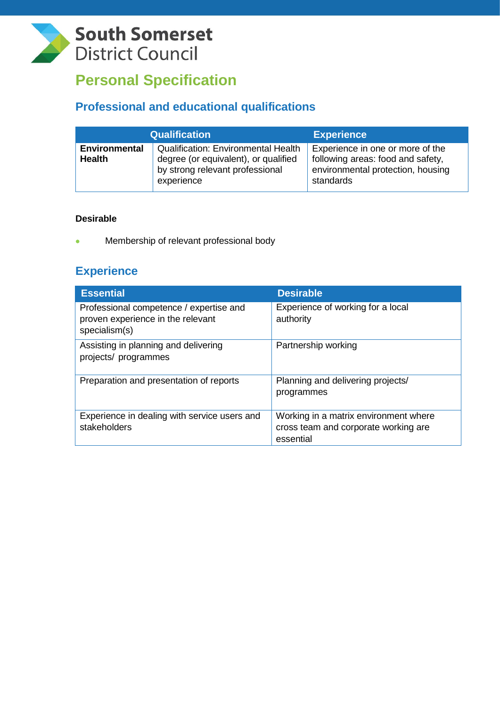# **South Somerset District Council**

## **Personal Specification**

### **Professional and educational qualifications**

|                                       | <b>Qualification</b>                                                                                                         | <b>Experience</b>                                                                                                       |
|---------------------------------------|------------------------------------------------------------------------------------------------------------------------------|-------------------------------------------------------------------------------------------------------------------------|
| <b>Environmental</b><br><b>Health</b> | Qualification: Environmental Health<br>degree (or equivalent), or qualified<br>by strong relevant professional<br>experience | Experience in one or more of the<br>following areas: food and safety,<br>environmental protection, housing<br>standards |

#### **Desirable**

Membership of relevant professional body

### **Experience**

| <b>Essential</b>                                                                              | <b>Desirable</b>                                                                           |
|-----------------------------------------------------------------------------------------------|--------------------------------------------------------------------------------------------|
| Professional competence / expertise and<br>proven experience in the relevant<br>specialism(s) | Experience of working for a local<br>authority                                             |
| Assisting in planning and delivering<br>projects/ programmes                                  | Partnership working                                                                        |
| Preparation and presentation of reports                                                       | Planning and delivering projects/<br>programmes                                            |
| Experience in dealing with service users and<br>stakeholders                                  | Working in a matrix environment where<br>cross team and corporate working are<br>essential |